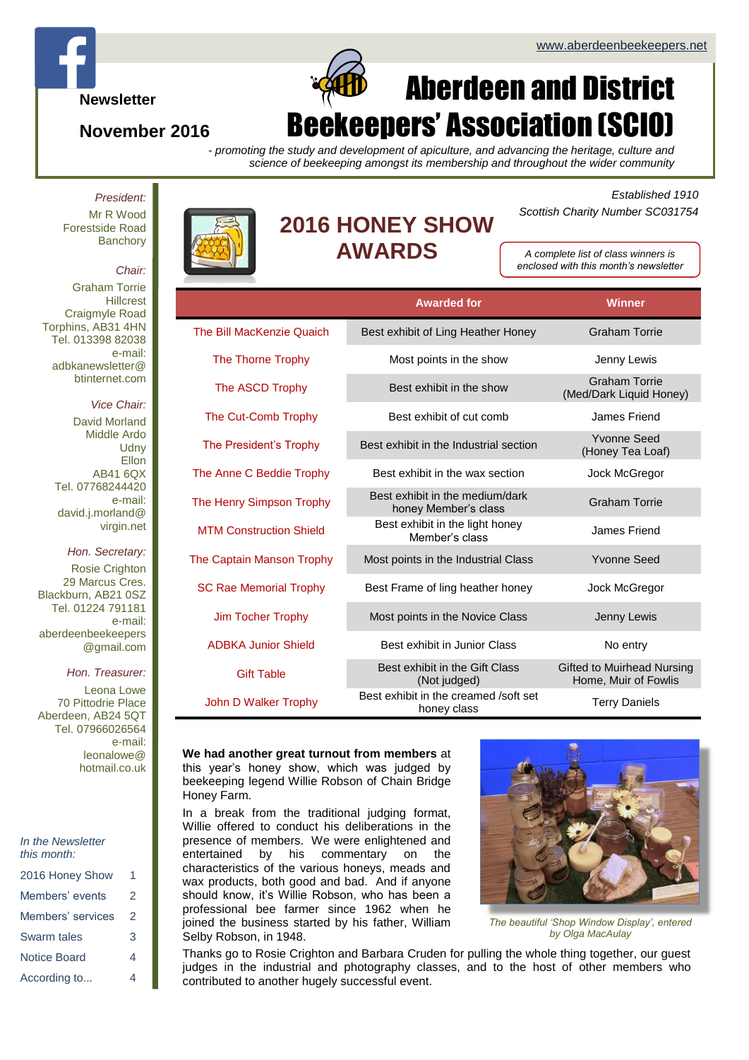**Newsletter**

## **November 2016**

# Aberdeen and District ekeepers' Association (SCIO

*- promoting the study and development of apiculture, and advancing the heritage, culture and science of beekeeping amongst its membership and throughout the wider community*

*President:* Mr R Wood Forestside Road **Banchory** 

#### *Chair:*

Graham Torrie **Hillcrest** Craigmyle Road Torphins, AB31 4HN Tel. 013398 82038 e-mail: adbkanewsletter@ btinternet.com

### *Vice Chair:*

David Morland Middle Ardo **Udny** Ellon AB41 6QX Tel. 07768244420 e-mail: david.j.morland@ virgin.net

*Hon. Secretary:* Rosie Crighton 29 Marcus Cres. Blackburn, AB21 0SZ Tel. 01224 791181 e-mail: aberdeenbeekeepers @gmail.com

#### *Hon. Treasurer:*

Leona Lowe 70 Pittodrie Place Aberdeen, AB24 5QT Tel. 07966026564 e-mail: leonalowe@ hotmail.co.uk

| In the Newsletter |  |
|-------------------|--|
| this month:       |  |

| 2016 Honey Show     |   |
|---------------------|---|
| Members' events     | 2 |
| Members' services   | 2 |
| Swarm tales         | 3 |
| <b>Notice Board</b> | 4 |
| According to        | 4 |



 $\Box$ 

## **2016 HONEY SHOW AWARDS**

### *Established 1910 Scottish Charity Number SC031754*

*A complete list of class winners is enclosed with this month's newsletter*

|                                  | <b>Awarded for</b>                                      | <b>Winner</b>                                      |
|----------------------------------|---------------------------------------------------------|----------------------------------------------------|
| The Bill MacKenzie Quaich        | Best exhibit of Ling Heather Honey                      | <b>Graham Torrie</b>                               |
| The Thorne Trophy                | Most points in the show                                 | Jenny Lewis                                        |
| The ASCD Trophy                  | Best exhibit in the show                                | <b>Graham Torrie</b><br>(Med/Dark Liquid Honey)    |
| The Cut-Comb Trophy              | Best exhibit of cut comb                                | James Friend                                       |
| The President's Trophy           | Best exhibit in the Industrial section                  | <b>Yvonne Seed</b><br>(Honey Tea Loaf)             |
| The Anne C Beddie Trophy         | Best exhibit in the wax section                         | Jock McGregor                                      |
| The Henry Simpson Trophy         | Best exhibit in the medium/dark<br>honey Member's class | <b>Graham Torrie</b>                               |
| <b>MTM Construction Shield</b>   | Best exhibit in the light honey<br>Member's class       | James Friend                                       |
| <b>The Captain Manson Trophy</b> | Most points in the Industrial Class                     | <b>Yvonne Seed</b>                                 |
| <b>SC Rae Memorial Trophy</b>    | Best Frame of ling heather honey                        | Jock McGregor                                      |
| Jim Tocher Trophy                | Most points in the Novice Class                         | Jenny Lewis                                        |
| <b>ADBKA Junior Shield</b>       | Best exhibit in Junior Class                            | No entry                                           |
| <b>Gift Table</b>                | Best exhibit in the Gift Class<br>(Not judged)          | Gifted to Muirhead Nursing<br>Home, Muir of Fowlis |
| John D Walker Trophy             | Best exhibit in the creamed /soft set<br>honey class    | <b>Terry Daniels</b>                               |

#### **We had another great turnout from members** at this year's honey show, which was judged by beekeeping legend Willie Robson of Chain Bridge Honey Farm.

In a break from the traditional judging format, Willie offered to conduct his deliberations in the presence of members. We were enlightened and entertained by his commentary on the characteristics of the various honeys, meads and wax products, both good and bad. And if anyone should know, it's Willie Robson, who has been a professional bee farmer since 1962 when he joined the business started by his father, William Selby Robson, in 1948.



*The beautiful 'Shop Window Display', entered by Olga MacAulay*

Thanks go to Rosie Crighton and Barbara Cruden for pulling the whole thing together, our guest judges in the industrial and photography classes, and to the host of other members who contributed to another hugely successful event.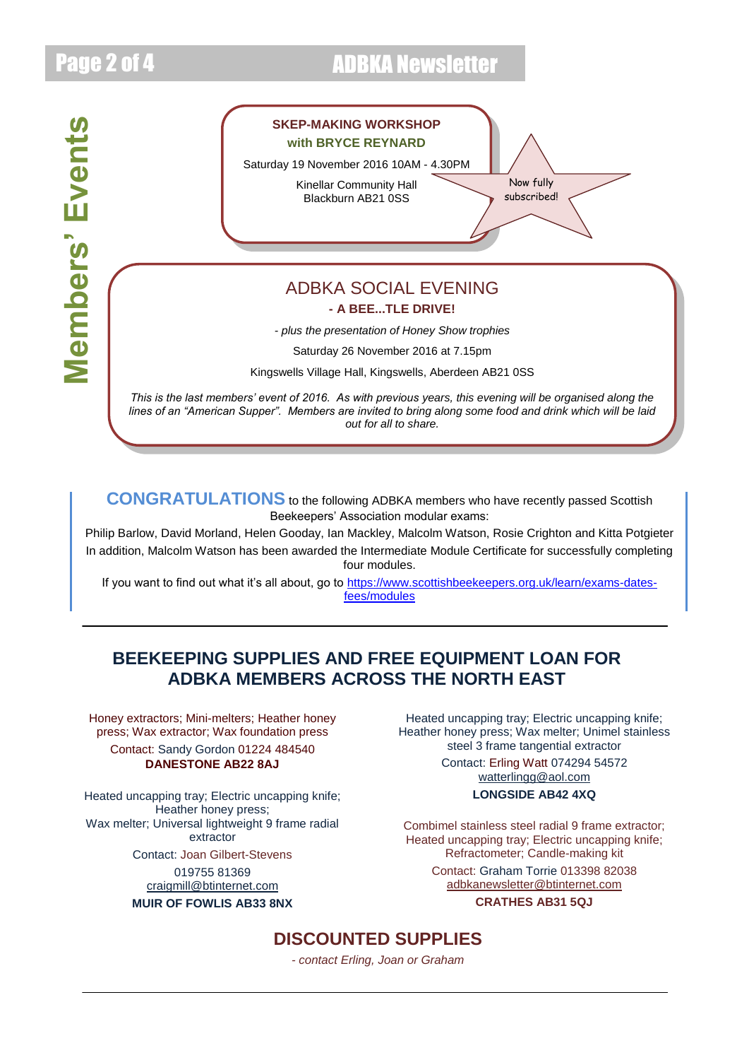# Page 2 of 4 **ADBKA Newsletter**

Members' Events **Members' Events**



Kingswells Village Hall, Kingswells, Aberdeen AB21 0SS

*This is the last members' event of 2016. As with previous years, this evening will be organised along the lines of an "American Supper". Members are invited to bring along some food and drink which will be laid out for all to share.*

*Come along and join us for a blether, a bite to eat, and a thrilling Bee...tle Drive!*

**CONGRATULATIONS** to the following ADBKA members who have recently passed Scottish Beekeepers' Association modular exams:

Philip Barlow, David Morland, Helen Gooday, Ian Mackley, Malcolm Watson, Rosie Crighton and Kitta Potgieter In addition, Malcolm Watson has been awarded the Intermediate Module Certificate for successfully completing four modules.

If you want to find out what it's all about, go to [https://www.scottishbeekeepers.org.uk/learn/exams-dates](https://www.scottishbeekeepers.org.uk/learn/exams-dates-fees/modules)[fees/modules](https://www.scottishbeekeepers.org.uk/learn/exams-dates-fees/modules)

## **BEEKEEPING SUPPLIES AND FREE EQUIPMENT LOAN FOR ADBKA MEMBERS ACROSS THE NORTH EAST**

Honey extractors; Mini-melters; Heather honey press; Wax extractor; Wax foundation press Contact: Sandy Gordon 01224 484540 **DANESTONE AB22 8AJ**

Heated uncapping tray; Electric uncapping knife; Heather honey press; Wax melter; Universal lightweight 9 frame radial extractor

Contact: Joan Gilbert-Stevens 019755 81369 [craigmill@btinternet.com](mailto:craigmill@btinternet.com)

**MUIR OF FOWLIS AB33 8NX**

Heated uncapping tray; Electric uncapping knife; Heather honey press; Wax melter; Unimel stainless steel 3 frame tangential extractor

> Contact: Erling Watt 074294 54572 [watterlingg@aol.com](mailto:watterlingg@aol.com)

## **LONGSIDE AB42 4XQ**

Combimel stainless steel radial 9 frame extractor; Heated uncapping tray; Electric uncapping knife; Refractometer; Candle-making kit

> Contact: Graham Torrie 013398 82038 [adbkanewsletter@btinternet.com](mailto:adbkanewsletter@btinternet.com) **CRATHES AB31 5QJ**

## **DISCOUNTED SUPPLIES**

*- contact Erling, Joan or Graham*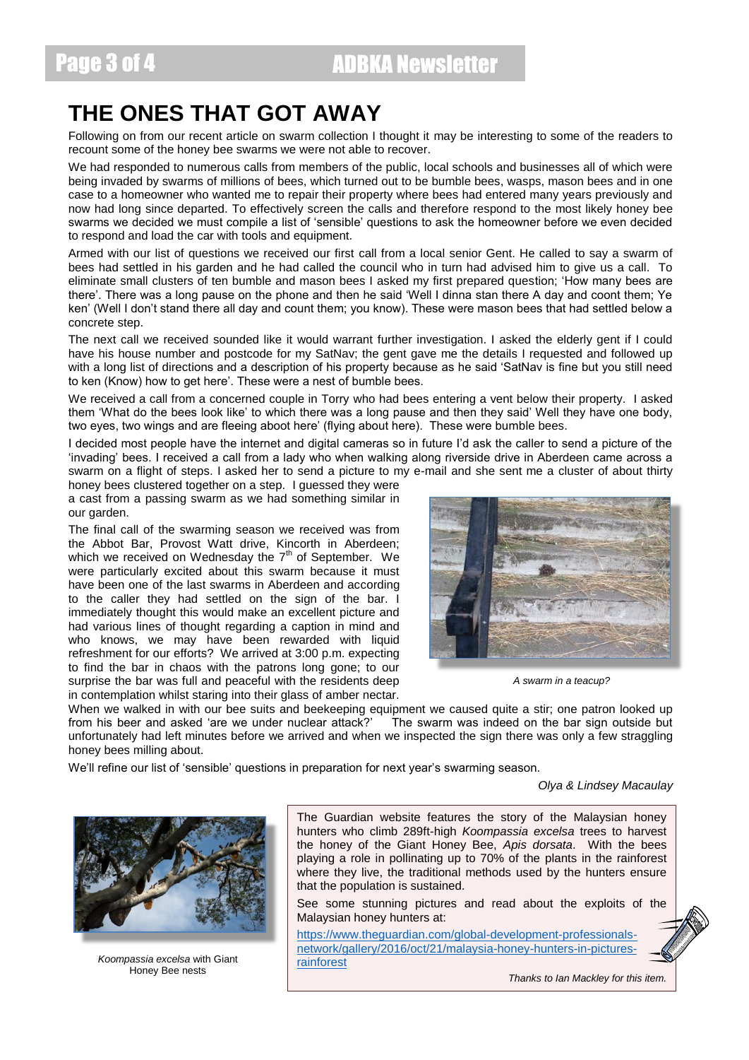## **THE ONES THAT GOT AWAY**

Following on from our recent article on swarm collection I thought it may be interesting to some of the readers to recount some of the honey bee swarms we were not able to recover.

We had responded to numerous calls from members of the public, local schools and businesses all of which were being invaded by swarms of millions of bees, which turned out to be bumble bees, wasps, mason bees and in one case to a homeowner who wanted me to repair their property where bees had entered many years previously and now had long since departed. To effectively screen the calls and therefore respond to the most likely honey bee swarms we decided we must compile a list of 'sensible' questions to ask the homeowner before we even decided to respond and load the car with tools and equipment.

Armed with our list of questions we received our first call from a local senior Gent. He called to say a swarm of bees had settled in his garden and he had called the council who in turn had advised him to give us a call. To eliminate small clusters of ten bumble and mason bees I asked my first prepared question; 'How many bees are there'. There was a long pause on the phone and then he said 'Well I dinna stan there A day and coont them; Ye ken' (Well I don't stand there all day and count them; you know). These were mason bees that had settled below a concrete step.

The next call we received sounded like it would warrant further investigation. I asked the elderly gent if I could have his house number and postcode for my SatNay; the gent gave me the details I requested and followed up with a long list of directions and a description of his property because as he said 'SatNav is fine but you still need to ken (Know) how to get here'. These were a nest of bumble bees.

We received a call from a concerned couple in Torry who had bees entering a vent below their property. I asked them 'What do the bees look like' to which there was a long pause and then they said' Well they have one body, two eyes, two wings and are fleeing aboot here' (flying about here). These were bumble bees.

I decided most people have the internet and digital cameras so in future I'd ask the caller to send a picture of the 'invading' bees. I received a call from a lady who when walking along riverside drive in Aberdeen came across a swarm on a flight of steps. I asked her to send a picture to my e-mail and she sent me a cluster of about thirty

honey bees clustered together on a step. I guessed they were a cast from a passing swarm as we had something similar in our garden.

The final call of the swarming season we received was from the Abbot Bar, Provost Watt drive, Kincorth in Aberdeen; which we received on Wednesday the 7<sup>th</sup> of September. We were particularly excited about this swarm because it must have been one of the last swarms in Aberdeen and according to the caller they had settled on the sign of the bar. I immediately thought this would make an excellent picture and had various lines of thought regarding a caption in mind and who knows, we may have been rewarded with liquid refreshment for our efforts? We arrived at 3:00 p.m. expecting to find the bar in chaos with the patrons long gone; to our surprise the bar was full and peaceful with the residents deep in contemplation whilst staring into their glass of amber nectar.



*A swarm in a teacup?*

When we walked in with our bee suits and beekeeping equipment we caused quite a stir; one patron looked up from his beer and asked 'are we under nuclear attack?' The swarm was indeed on the bar sign outside but unfortunately had left minutes before we arrived and when we inspected the sign there was only a few straggling honey bees milling about.

We'll refine our list of 'sensible' questions in preparation for next year's swarming season.

*Olya & Lindsey Macaulay*



*Koompassia excelsa* with Giant Honey Bee nests

The Guardian website features the story of the Malaysian honey hunters who climb 289ft-high *Koompassia excelsa* trees to harvest the honey of the Giant Honey Bee, *Apis dorsata*. With the bees playing a role in pollinating up to 70% of the plants in the rainforest where they live, the traditional methods used by the hunters ensure that the population is sustained.

See some stunning pictures and read about the exploits of the Malaysian honey hunters at:

[https://www.theguardian.com/global-development-professionals](https://www.theguardian.com/global-development-professionals-network/gallery/2016/oct/21/malaysia-honey-hunters-in-pictures-rainforest)[network/gallery/2016/oct/21/malaysia-honey-hunters-in-pictures](https://www.theguardian.com/global-development-professionals-network/gallery/2016/oct/21/malaysia-honey-hunters-in-pictures-rainforest)[rainforest](https://www.theguardian.com/global-development-professionals-network/gallery/2016/oct/21/malaysia-honey-hunters-in-pictures-rainforest)

*Thanks to Ian Mackley for this item.*